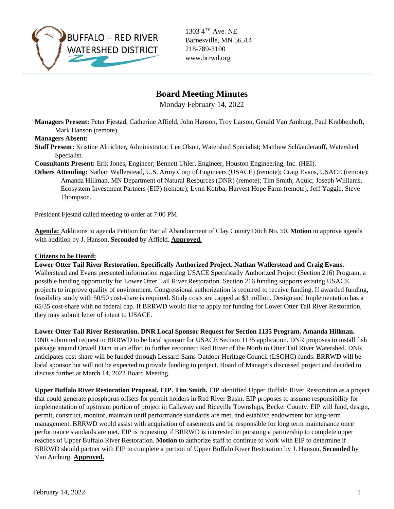

1303 4TH Ave. NE Barnesville, MN 56514 218-789-3100 www.brrwd.org

# **Board Meeting Minutes**

Monday February 14, 2022

**Managers Present:** Peter Fjestad, Catherine Affield, John Hanson, Troy Larson, Gerald Van Amburg, Paul Krabbenhoft, Mark Hanson (remote).

## **Managers Absent:**

**Staff Present:** Kristine Altrichter, Administrator; Lee Olson, Watershed Specialist; Matthew Schlauderauff, Watershed Specialist.

**Consultants Present:** Erik Jones, Engineer; Bennett Uhler, Engineer, Houston Engineering, Inc. (HEI).

**Others Attending:** Nathan Wallerstead, U.S. Army Corp of Engineers (USACE) (remote); Craig Evans, USACE (remote); Amanda Hillman, MN Department of Natural Resources (DNR) (remote); Tim Smith, Aquic; Joseph Williams, Ecosystem Investment Partners (EIP) (remote); Lynn Kotrba, Harvest Hope Farm (remote), Jeff Yaggie, Steve Thompson.

President Fjestad called meeting to order at 7:00 PM.

**Agenda:** Additions to agenda Petition for Partial Abandonment of Clay County Ditch No. 50. **Motion** to approve agenda with addition by J. Hanson, **Seconded** by Affield. **Approved.**

## **Citizens to be Heard:**

**Lower Otter Tail River Restoration. Specifically Authorized Project. Nathan Wallerstead and Craig Evans.**  Wallerstead and Evans presented information regarding USACE Specifically Authorized Project (Section 216) Program, a possible funding opportunity for Lower Otter Tail River Restoration. Section 216 funding supports existing USACE projects to improve quality of environment. Congressional authorization is required to receive funding. If awarded funding, feasibility study with 50/50 cost-share is required. Study costs are capped at \$3 million. Design and Implementation has a 65/35 cost-share with no federal cap. If BRRWD would like to apply for funding for Lower Otter Tail River Restoration, they may submit letter of intent to USACE.

**Lower Otter Tail River Restoration. DNR Local Sponsor Request for Section 1135 Program. Amanda Hillman.** 

DNR submitted request to BRRWD to be local sponsor for USACE Section 1135 application. DNR proposes to install fish passage around Orwell Dam in an effort to further reconnect Red River of the North to Otter Tail River Watershed. DNR anticipates cost-share will be funded through Lessard-Sams Outdoor Heritage Council (LSOHC) funds. BRRWD will be local sponsor but will not be expected to provide funding to project. Board of Managers discussed project and decided to discuss further at March 14, 2022 Board Meeting.

**Upper Buffalo River Restoration Proposal. EIP. Tim Smith.** EIP identified Upper Buffalo River Restoration as a project that could generate phosphorus offsets for permit holders in Red River Basin. EIP proposes to assume responsibility for implementation of upstream portion of project in Callaway and Riceville Townships, Becker County. EIP will fund, design, permit, construct, monitor, maintain until performance standards are met, and establish endowment for long-term management. BRRWD would assist with acquisition of easements and be responsible for long term maintenance once performance standards are met. EIP is requesting if BRRWD is interested in pursuing a partnership to complete upper reaches of Upper Buffalo River Restoration. **Motion** to authorize staff to continue to work with EIP to determine if BRRWD should partner with EIP to complete a portion of Upper Buffalo River Restoration by J. Hanson, **Seconded** by Van Amburg. **Approved.**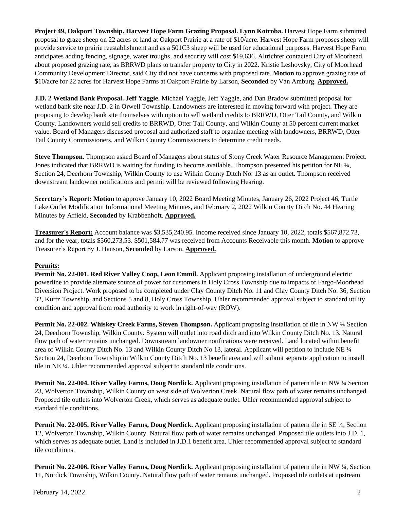**Project 49, Oakport Township. Harvest Hope Farm Grazing Proposal. Lynn Kotroba.** Harvest Hope Farm submitted proposal to graze sheep on 22 acres of land at Oakport Prairie at a rate of \$10/acre. Harvest Hope Farm proposes sheep will provide service to prairie reestablishment and as a 501C3 sheep will be used for educational purposes. Harvest Hope Farm anticipates adding fencing, signage, water troughs, and security will cost \$19,636. Altrichter contacted City of Moorhead about proposed grazing rate, as BRRWD plans to transfer property to City in 2022. Kristie Leshovsky, City of Moorhead Community Development Director, said City did not have concerns with proposed rate. **Motion** to approve grazing rate of \$10/acre for 22 acres for Harvest Hope Farms at Oakport Prairie by Larson, **Seconded** by Van Amburg. **Approved.** 

**J.D. 2 Wetland Bank Proposal. Jeff Yaggie.** Michael Yaggie, Jeff Yaggie, and Dan Bradow submitted proposal for wetland bank site near J.D. 2 in Orwell Township. Landowners are interested in moving forward with project. They are proposing to develop bank site themselves with option to sell wetland credits to BRRWD, Otter Tail County, and Wilkin County. Landowners would sell credits to BRRWD, Otter Tail County, and Wilkin County at 50 percent current market value. Board of Managers discussed proposal and authorized staff to organize meeting with landowners, BRRWD, Otter Tail County Commissioners, and Wilkin County Commissioners to determine credit needs.

**Steve Thompson.** Thompson asked Board of Managers about status of Stony Creek Water Resource Management Project. Jones indicated that BRRWD is waiting for funding to become available. Thompson presented his petition for NE  $\frac{1}{4}$ , Section 24, Deerhorn Township, Wilkin County to use Wilkin County Ditch No. 13 as an outlet. Thompson received downstream landowner notifications and permit will be reviewed following Hearing.

**Secretary's Report: Motion** to approve January 10, 2022 Board Meeting Minutes, January 26, 2022 Project 46, Turtle Lake Outlet Modification Informational Meeting Minutes, and February 2, 2022 Wilkin County Ditch No. 44 Hearing Minutes by Affield, **Seconded** by Krabbenhoft. **Approved.**

**Treasurer's Report:** Account balance was \$3,535,240.95. Income received since January 10, 2022, totals \$567,872.73, and for the year, totals \$560,273.53. \$501,584.77 was received from Accounts Receivable this month. **Motion** to approve Treasurer's Report by J. Hanson, **Seconded** by Larson. **Approved.**

## **Permits:**

**Permit No. 22-001. Red River Valley Coop, Leon Emmil.** Applicant proposing installation of underground electric powerline to provide alternate source of power for customers in Holy Cross Township due to impacts of Fargo-Moorhead Diversion Project. Work proposed to be completed under Clay County Ditch No. 11 and Clay County Ditch No. 36, Section 32, Kurtz Township, and Sections 5 and 8, Holy Cross Township. Uhler recommended approval subject to standard utility condition and approval from road authority to work in right-of-way (ROW).

**Permit No. 22-002. Whiskey Creek Farms, Steven Thompson.** Applicant proposing installation of tile in NW ¼ Section 24, Deerhorn Township, Wilkin County. System will outlet into road ditch and into Wilkin County Ditch No. 13. Natural flow path of water remains unchanged. Downstream landowner notifications were received. Land located within benefit area of Wilkin County Ditch No. 13 and Wilkin County Ditch No 13, lateral. Applicant will petition to include NE ¼ Section 24, Deerhorn Township in Wilkin County Ditch No. 13 benefit area and will submit separate application to install tile in NE ¼. Uhler recommended approval subject to standard tile conditions.

**Permit No. 22-004. River Valley Farms, Doug Nordick.** Applicant proposing installation of pattern tile in NW ¼ Section 23, Wolverton Township, Wilkin County on west side of Wolverton Creek. Natural flow path of water remains unchanged. Proposed tile outlets into Wolverton Creek, which serves as adequate outlet. Uhler recommended approval subject to standard tile conditions.

**Permit No. 22-005. River Valley Farms, Doug Nordick.** Applicant proposing installation of pattern tile in SE ¼, Section 12, Wolverton Township, Wilkin County. Natural flow path of water remains unchanged. Proposed tile outlets into J.D. 1, which serves as adequate outlet. Land is included in J.D.1 benefit area. Uhler recommended approval subject to standard tile conditions.

**Permit No. 22-006. River Valley Farms, Doug Nordick.** Applicant proposing installation of pattern tile in NW ¼, Section 11, Nordick Township, Wilkin County. Natural flow path of water remains unchanged. Proposed tile outlets at upstream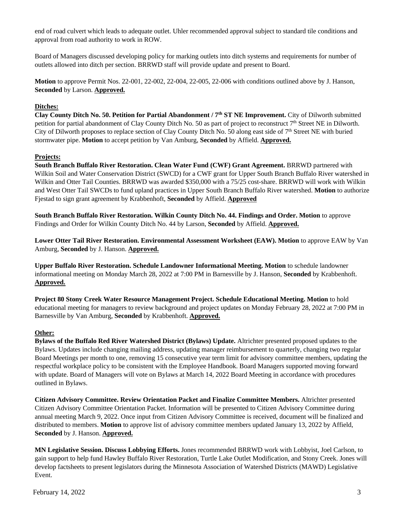end of road culvert which leads to adequate outlet. Uhler recommended approval subject to standard tile conditions and approval from road authority to work in ROW.

Board of Managers discussed developing policy for marking outlets into ditch systems and requirements for number of outlets allowed into ditch per section. BRRWD staff will provide update and present to Board.

**Motion** to approve Permit Nos. 22-001, 22-002, 22-004, 22-005, 22-006 with conditions outlined above by J. Hanson, **Seconded** by Larson. **Approved.** 

## **Ditches:**

**Clay County Ditch No. 50. Petition for Partial Abandonment / 7th ST NE Improvement.** City of Dilworth submitted petition for partial abandonment of Clay County Ditch No. 50 as part of project to reconstruct 7th Street NE in Dilworth. City of Dilworth proposes to replace section of Clay County Ditch No. 50 along east side of 7th Street NE with buried stormwater pipe. **Motion** to accept petition by Van Amburg, **Seconded** by Affield. **Approved.** 

## **Projects:**

**South Branch Buffalo River Restoration. Clean Water Fund (CWF) Grant Agreement.** BRRWD partnered with Wilkin Soil and Water Conservation District (SWCD) for a CWF grant for Upper South Branch Buffalo River watershed in Wilkin and Otter Tail Counties. BRRWD was awarded \$350,000 with a 75/25 cost-share. BRRWD will work with Wilkin and West Otter Tail SWCDs to fund upland practices in Upper South Branch Buffalo River watershed. **Motion** to authorize Fjestad to sign grant agreement by Krabbenhoft, **Seconded** by Affield. **Approved**

**South Branch Buffalo River Restoration. Wilkin County Ditch No. 44. Findings and Order. Motion** to approve Findings and Order for Wilkin County Ditch No. 44 by Larson, **Seconded** by Affield. **Approved.** 

Lower Otter Tail River Restoration. Environmental Assessment Worksheet (EAW). Motion to approve EAW by Van Amburg, **Seconded** by J. Hanson. **Approved.** 

**Upper Buffalo River Restoration. Schedule Landowner Informational Meeting. Motion** to schedule landowner informational meeting on Monday March 28, 2022 at 7:00 PM in Barnesville by J. Hanson, **Seconded** by Krabbenhoft. **Approved.** 

**Project 80 Stony Creek Water Resource Management Project. Schedule Educational Meeting. Motion** to hold educational meeting for managers to review background and project updates on Monday February 28, 2022 at 7:00 PM in Barnesville by Van Amburg, **Seconded** by Krabbenhoft. **Approved.** 

## **Other:**

**Bylaws of the Buffalo Red River Watershed District (Bylaws) Update.** Altrichter presented proposed updates to the Bylaws. Updates include changing mailing address, updating manager reimbursement to quarterly, changing two regular Board Meetings per month to one, removing 15 consecutive year term limit for advisory committee members, updating the respectful workplace policy to be consistent with the Employee Handbook. Board Managers supported moving forward with update. Board of Managers will vote on Bylaws at March 14, 2022 Board Meeting in accordance with procedures outlined in Bylaws.

**Citizen Advisory Committee. Review Orientation Packet and Finalize Committee Members.** Altrichter presented Citizen Advisory Committee Orientation Packet. Information will be presented to Citizen Advisory Committee during annual meeting March 9, 2022. Once input from Citizen Advisory Committee is received, document will be finalized and distributed to members. **Motion** to approve list of advisory committee members updated January 13, 2022 by Affield, **Seconded** by J. Hanson. **Approved.** 

**MN Legislative Session. Discuss Lobbying Efforts.** Jones recommended BRRWD work with Lobbyist, Joel Carlson, to gain support to help fund Hawley Buffalo River Restoration, Turtle Lake Outlet Modification, and Stony Creek. Jones will develop factsheets to present legislators during the Minnesota Association of Watershed Districts (MAWD) Legislative Event.